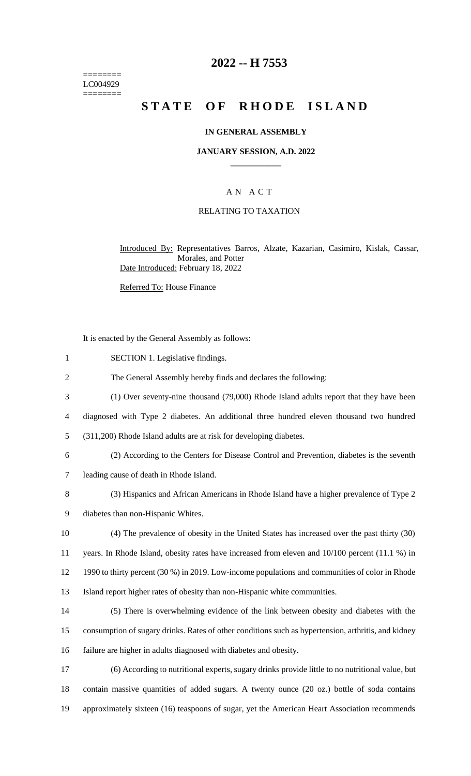======== LC004929 ========

## **2022 -- H 7553**

# **STATE OF RHODE ISLAND**

### **IN GENERAL ASSEMBLY**

#### **JANUARY SESSION, A.D. 2022 \_\_\_\_\_\_\_\_\_\_\_\_**

### A N A C T

### RELATING TO TAXATION

Introduced By: Representatives Barros, Alzate, Kazarian, Casimiro, Kislak, Cassar, Morales, and Potter Date Introduced: February 18, 2022

Referred To: House Finance

It is enacted by the General Assembly as follows:

 SECTION 1. Legislative findings. The General Assembly hereby finds and declares the following: (1) Over seventy-nine thousand (79,000) Rhode Island adults report that they have been diagnosed with Type 2 diabetes. An additional three hundred eleven thousand two hundred (311,200) Rhode Island adults are at risk for developing diabetes. (2) According to the Centers for Disease Control and Prevention, diabetes is the seventh leading cause of death in Rhode Island. (3) Hispanics and African Americans in Rhode Island have a higher prevalence of Type 2 diabetes than non-Hispanic Whites. (4) The prevalence of obesity in the United States has increased over the past thirty (30) years. In Rhode Island, obesity rates have increased from eleven and 10/100 percent (11.1 %) in 1990 to thirty percent (30 %) in 2019. Low-income populations and communities of color in Rhode Island report higher rates of obesity than non-Hispanic white communities. (5) There is overwhelming evidence of the link between obesity and diabetes with the consumption of sugary drinks. Rates of other conditions such as hypertension, arthritis, and kidney failure are higher in adults diagnosed with diabetes and obesity. (6) According to nutritional experts, sugary drinks provide little to no nutritional value, but contain massive quantities of added sugars. A twenty ounce (20 oz.) bottle of soda contains approximately sixteen (16) teaspoons of sugar, yet the American Heart Association recommends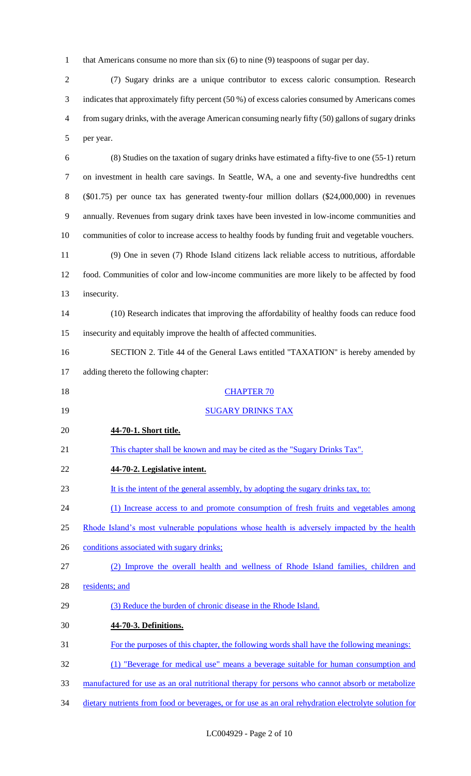1 that Americans consume no more than six (6) to nine (9) teaspoons of sugar per day.

 (7) Sugary drinks are a unique contributor to excess caloric consumption. Research indicates that approximately fifty percent (50 %) of excess calories consumed by Americans comes from sugary drinks, with the average American consuming nearly fifty (50) gallons of sugary drinks per year.

 (8) Studies on the taxation of sugary drinks have estimated a fifty-five to one (55-1) return on investment in health care savings. In Seattle, WA, a one and seventy-five hundredths cent (\$01.75) per ounce tax has generated twenty-four million dollars (\$24,000,000) in revenues annually. Revenues from sugary drink taxes have been invested in low-income communities and communities of color to increase access to healthy foods by funding fruit and vegetable vouchers. (9) One in seven (7) Rhode Island citizens lack reliable access to nutritious, affordable food. Communities of color and low-income communities are more likely to be affected by food insecurity.

 (10) Research indicates that improving the affordability of healthy foods can reduce food insecurity and equitably improve the health of affected communities.

- SECTION 2. Title 44 of the General Laws entitled "TAXATION" is hereby amended by adding thereto the following chapter:
- 18 CHAPTER 70

## SUGARY DRINKS TAX

## **44-70-1. Short title.**

This chapter shall be known and may be cited as the "Sugary Drinks Tax".

## **44-70-2. Legislative intent.**

It is the intent of the general assembly, by adopting the sugary drinks tax, to:

(1) Increase access to and promote consumption of fresh fruits and vegetables among

- 25 Rhode Island's most vulnerable populations whose health is adversely impacted by the health
- 26 conditions associated with sugary drinks;

```
27 (2) Improve the overall health and wellness of Rhode Island families, children and
```
- 28 residents; and
- (3) Reduce the burden of chronic disease in the Rhode Island.

## **44-70-3. Definitions.**

- For the purposes of this chapter, the following words shall have the following meanings:
- (1) "Beverage for medical use" means a beverage suitable for human consumption and
- manufactured for use as an oral nutritional therapy for persons who cannot absorb or metabolize
- dietary nutrients from food or beverages, or for use as an oral rehydration electrolyte solution for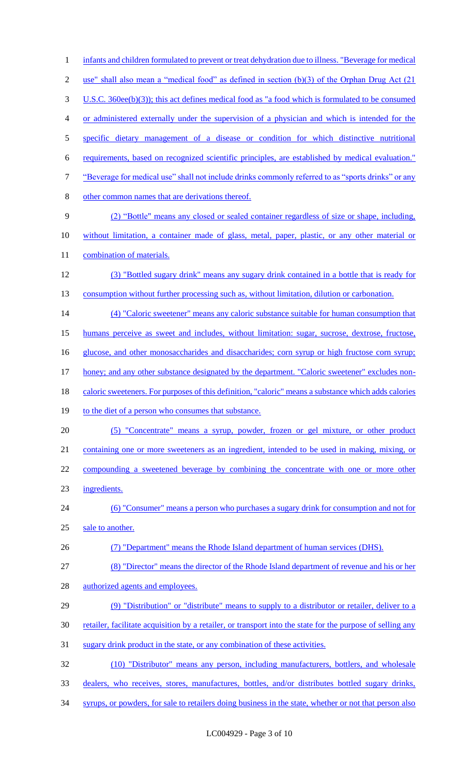1 infants and children formulated to prevent or treat dehydration due to illness. "Beverage for medical use" shall also mean a "medical food" as defined in section (b)(3) of the Orphan Drug Act (21 U.S.C. 360ee(b)(3)); this act defines medical food as "a food which is formulated to be consumed or administered externally under the supervision of a physician and which is intended for the specific dietary management of a disease or condition for which distinctive nutritional requirements, based on recognized scientific principles, are established by medical evaluation." "Beverage for medical use" shall not include drinks commonly referred to as "sports drinks" or any other common names that are derivations thereof. (2) "Bottle" means any closed or sealed container regardless of size or shape, including, without limitation, a container made of glass, metal, paper, plastic, or any other material or 11 combination of materials. (3) "Bottled sugary drink" means any sugary drink contained in a bottle that is ready for 13 consumption without further processing such as, without limitation, dilution or carbonation. (4) "Caloric sweetener" means any caloric substance suitable for human consumption that humans perceive as sweet and includes, without limitation: sugar, sucrose, dextrose, fructose, 16 glucose, and other monosaccharides and disaccharides; corn syrup or high fructose corn syrup; 17 honey; and any other substance designated by the department. "Caloric sweetener" excludes non- caloric sweeteners. For purposes of this definition, "caloric" means a substance which adds calories 19 to the diet of a person who consumes that substance. (5) "Concentrate" means a syrup, powder, frozen or gel mixture, or other product containing one or more sweeteners as an ingredient, intended to be used in making, mixing, or compounding a sweetened beverage by combining the concentrate with one or more other ingredients. (6) "Consumer" means a person who purchases a sugary drink for consumption and not for sale to another. (7) "Department" means the Rhode Island department of human services (DHS). (8) "Director" means the director of the Rhode Island department of revenue and his or her 28 authorized agents and employees. (9) "Distribution" or "distribute" means to supply to a distributor or retailer, deliver to a retailer, facilitate acquisition by a retailer, or transport into the state for the purpose of selling any sugary drink product in the state, or any combination of these activities. (10) "Distributor" means any person, including manufacturers, bottlers, and wholesale dealers, who receives, stores, manufactures, bottles, and/or distributes bottled sugary drinks, 34 syrups, or powders, for sale to retailers doing business in the state, whether or not that person also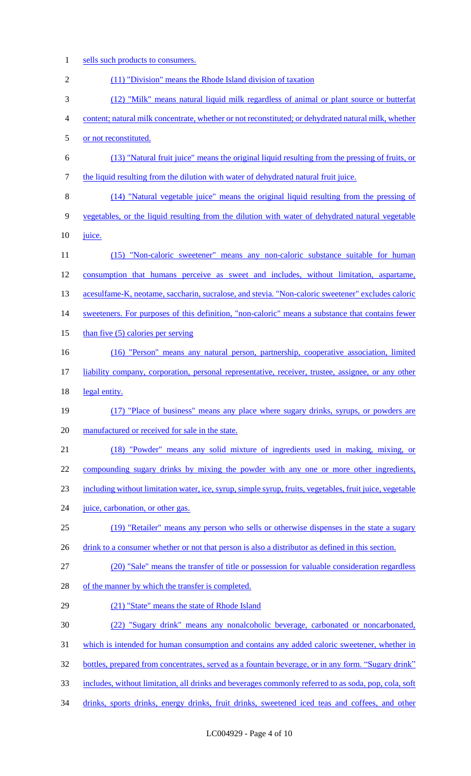sells such products to consumers. (11) "Division" means the Rhode Island division of taxation (12) "Milk" means natural liquid milk regardless of animal or plant source or butterfat content; natural milk concentrate, whether or not reconstituted; or dehydrated natural milk, whether or not reconstituted. (13) "Natural fruit juice" means the original liquid resulting from the pressing of fruits, or 7 the liquid resulting from the dilution with water of dehydrated natural fruit juice. (14) "Natural vegetable juice" means the original liquid resulting from the pressing of vegetables, or the liquid resulting from the dilution with water of dehydrated natural vegetable 10 juice. (15) "Non-caloric sweetener" means any non-caloric substance suitable for human consumption that humans perceive as sweet and includes, without limitation, aspartame, 13 acesulfame-K, neotame, saccharin, sucralose, and stevia. "Non-caloric sweetener" excludes caloric 14 sweeteners. For purposes of this definition, "non-caloric" means a substance that contains fewer 15 than five (5) calories per serving (16) "Person" means any natural person, partnership, cooperative association, limited liability company, corporation, personal representative, receiver, trustee, assignee, or any other 18 legal entity. (17) "Place of business" means any place where sugary drinks, syrups, or powders are manufactured or received for sale in the state. (18) "Powder" means any solid mixture of ingredients used in making, mixing, or 22 compounding sugary drinks by mixing the powder with any one or more other ingredients, including without limitation water, ice, syrup, simple syrup, fruits, vegetables, fruit juice, vegetable 24 juice, carbonation, or other gas. (19) "Retailer" means any person who sells or otherwise dispenses in the state a sugary 26 drink to a consumer whether or not that person is also a distributor as defined in this section. (20) "Sale" means the transfer of title or possession for valuable consideration regardless 28 of the manner by which the transfer is completed. (21) "State" means the state of Rhode Island (22) "Sugary drink" means any nonalcoholic beverage, carbonated or noncarbonated, which is intended for human consumption and contains any added caloric sweetener, whether in 32 bottles, prepared from concentrates, served as a fountain beverage, or in any form. "Sugary drink" 33 includes, without limitation, all drinks and beverages commonly referred to as soda, pop, cola, soft 34 drinks, sports drinks, energy drinks, fruit drinks, sweetened iced teas and coffees, and other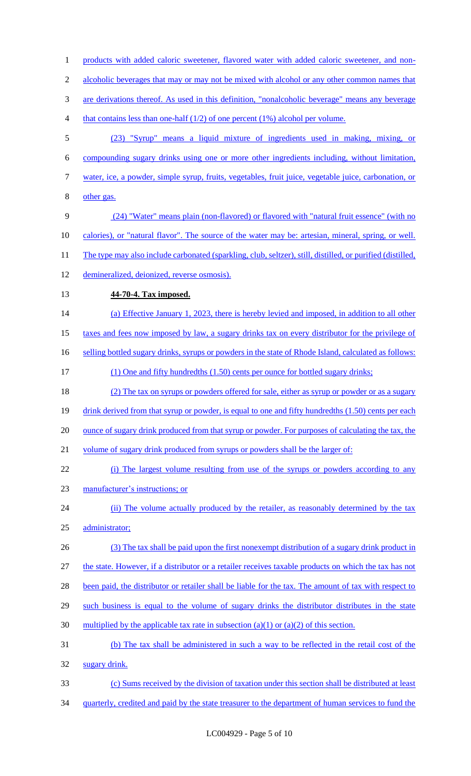1 products with added caloric sweetener, flavored water with added caloric sweetener, and non-2 alcoholic beverages that may or may not be mixed with alcohol or any other common names that are derivations thereof. As used in this definition, "nonalcoholic beverage" means any beverage 4 that contains less than one-half (1/2) of one percent (1%) alcohol per volume. (23) "Syrup" means a liquid mixture of ingredients used in making, mixing, or compounding sugary drinks using one or more other ingredients including, without limitation, water, ice, a powder, simple syrup, fruits, vegetables, fruit juice, vegetable juice, carbonation, or other gas. (24) "Water" means plain (non-flavored) or flavored with "natural fruit essence" (with no calories), or "natural flavor". The source of the water may be: artesian, mineral, spring, or well. 11 The type may also include carbonated (sparkling, club, seltzer), still, distilled, or purified (distilled, 12 demineralized, deionized, reverse osmosis). **44-70-4. Tax imposed.**  14 (a) Effective January 1, 2023, there is hereby levied and imposed, in addition to all other taxes and fees now imposed by law, a sugary drinks tax on every distributor for the privilege of 16 selling bottled sugary drinks, syrups or powders in the state of Rhode Island, calculated as follows: (1) One and fifty hundredths (1.50) cents per ounce for bottled sugary drinks; (2) The tax on syrups or powders offered for sale, either as syrup or powder or as a sugary 19 drink derived from that syrup or powder, is equal to one and fifty hundredths (1.50) cents per each 20 ounce of sugary drink produced from that syrup or powder. For purposes of calculating the tax, the 21 volume of sugary drink produced from syrups or powders shall be the larger of: (i) The largest volume resulting from use of the syrups or powders according to any manufacturer's instructions; or 24 (ii) The volume actually produced by the retailer, as reasonably determined by the tax administrator; (3) The tax shall be paid upon the first nonexempt distribution of a sugary drink product in the state. However, if a distributor or a retailer receives taxable products on which the tax has not 28 been paid, the distributor or retailer shall be liable for the tax. The amount of tax with respect to such business is equal to the volume of sugary drinks the distributor distributes in the state 30 multiplied by the applicable tax rate in subsection (a)(1) or (a)(2) of this section. (b) The tax shall be administered in such a way to be reflected in the retail cost of the sugary drink. (c) Sums received by the division of taxation under this section shall be distributed at least quarterly, credited and paid by the state treasurer to the department of human services to fund the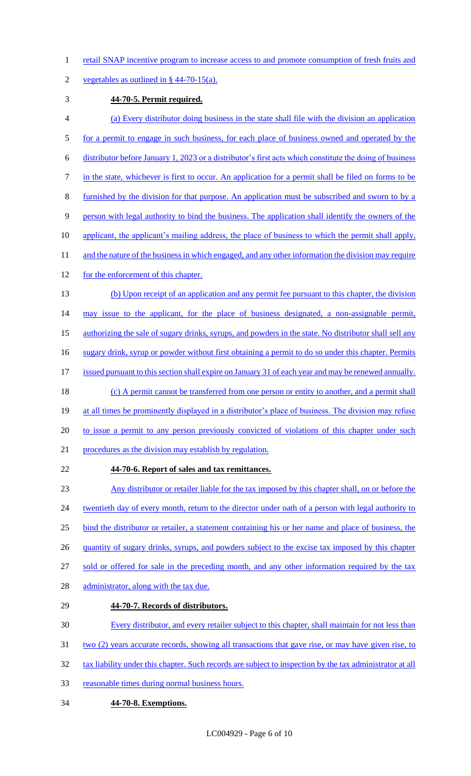- 1 retail SNAP incentive program to increase access to and promote consumption of fresh fruits and
- 2 vegetables as outlined in  $\S$  44-70-15(a).

## 3 **44-70-5. Permit required.**

- 4 (a) Every distributor doing business in the state shall file with the division an application 5 for a permit to engage in such business, for each place of business owned and operated by the 6 distributor before January 1, 2023 or a distributor's first acts which constitute the doing of business 7 in the state, whichever is first to occur. An application for a permit shall be filed on forms to be 8 furnished by the division for that purpose. An application must be subscribed and sworn to by a 9 person with legal authority to bind the business. The application shall identify the owners of the 10 applicant, the applicant's mailing address, the place of business to which the permit shall apply, 11 and the nature of the business in which engaged, and any other information the division may require 12 for the enforcement of this chapter. 13 (b) Upon receipt of an application and any permit fee pursuant to this chapter, the division 14 may issue to the applicant, for the place of business designated, a non-assignable permit, 15 authorizing the sale of sugary drinks, syrups, and powders in the state. No distributor shall sell any 16 sugary drink, syrup or powder without first obtaining a permit to do so under this chapter. Permits 17 issued pursuant to this section shall expire on January 31 of each year and may be renewed annually. 18 (c) A permit cannot be transferred from one person or entity to another, and a permit shall 19 at all times be prominently displayed in a distributor's place of business. The division may refuse 20 to issue a permit to any person previously convicted of violations of this chapter under such 21 procedures as the division may establish by regulation. 22 **44-70-6. Report of sales and tax remittances.**  23 Any distributor or retailer liable for the tax imposed by this chapter shall, on or before the 24 twentieth day of every month, return to the director under oath of a person with legal authority to 25 bind the distributor or retailer, a statement containing his or her name and place of business, the 26 quantity of sugary drinks, syrups, and powders subject to the excise tax imposed by this chapter 27 sold or offered for sale in the preceding month, and any other information required by the tax 28 administrator, along with the tax due.
- 29 **44-70-7. Records of distributors.**
- 30 Every distributor, and every retailer subject to this chapter, shall maintain for not less than
- 31 two (2) years accurate records, showing all transactions that gave rise, or may have given rise, to
- 32 tax liability under this chapter. Such records are subject to inspection by the tax administrator at all
- 33 reasonable times during normal business hours.
- 34 **44-70-8. Exemptions.**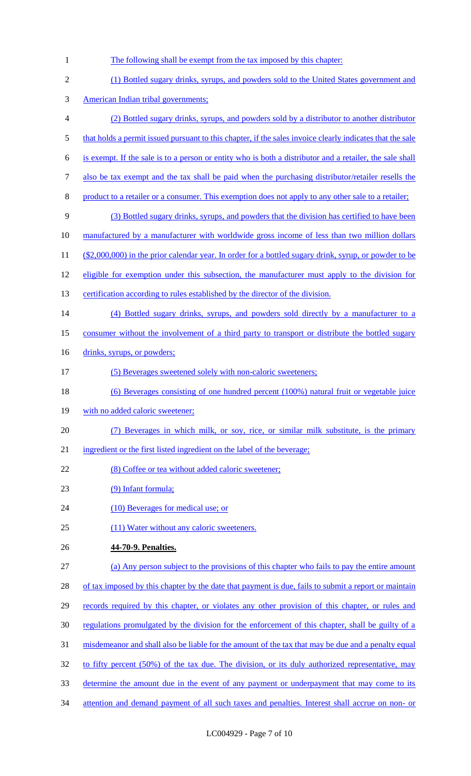The following shall be exempt from the tax imposed by this chapter: (1) Bottled sugary drinks, syrups, and powders sold to the United States government and American Indian tribal governments; (2) Bottled sugary drinks, syrups, and powders sold by a distributor to another distributor 5 that holds a permit issued pursuant to this chapter, if the sales invoice clearly indicates that the sale is exempt. If the sale is to a person or entity who is both a distributor and a retailer, the sale shall also be tax exempt and the tax shall be paid when the purchasing distributor/retailer resells the product to a retailer or a consumer. This exemption does not apply to any other sale to a retailer; (3) Bottled sugary drinks, syrups, and powders that the division has certified to have been manufactured by a manufacturer with worldwide gross income of less than two million dollars (\$2,000,000) in the prior calendar year. In order for a bottled sugary drink, syrup, or powder to be 12 eligible for exemption under this subsection, the manufacturer must apply to the division for 13 certification according to rules established by the director of the division. (4) Bottled sugary drinks, syrups, and powders sold directly by a manufacturer to a consumer without the involvement of a third party to transport or distribute the bottled sugary 16 drinks, syrups, or powders; 17 (5) Beverages sweetened solely with non-caloric sweeteners; 18 (6) Beverages consisting of one hundred percent (100%) natural fruit or vegetable juice 19 with no added caloric sweetener; (7) Beverages in which milk, or soy, rice, or similar milk substitute, is the primary ingredient or the first listed ingredient on the label of the beverage; 22 (8) Coffee or tea without added caloric sweetener; (9) Infant formula; 24 (10) Beverages for medical use; or (11) Water without any caloric sweeteners. **44-70-9. Penalties.**  (a) Any person subject to the provisions of this chapter who fails to pay the entire amount 28 of tax imposed by this chapter by the date that payment is due, fails to submit a report or maintain 29 records required by this chapter, or violates any other provision of this chapter, or rules and regulations promulgated by the division for the enforcement of this chapter, shall be guilty of a misdemeanor and shall also be liable for the amount of the tax that may be due and a penalty equal 32 to fifty percent (50%) of the tax due. The division, or its duly authorized representative, may determine the amount due in the event of any payment or underpayment that may come to its

attention and demand payment of all such taxes and penalties. Interest shall accrue on non- or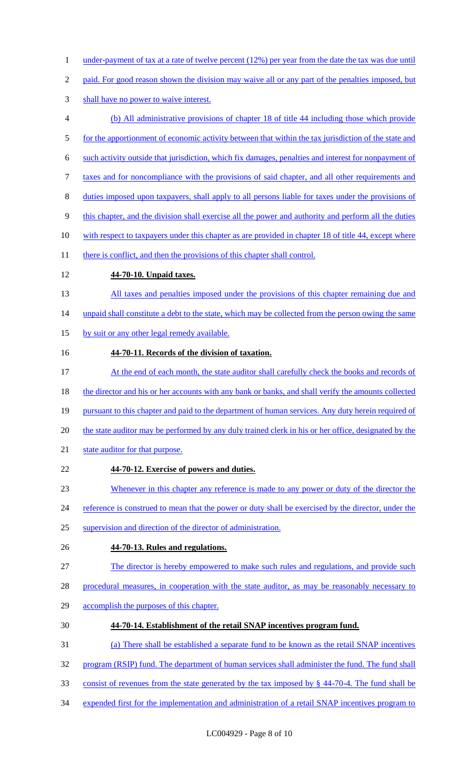- 1 under-payment of tax at a rate of twelve percent (12%) per year from the date the tax was due until
- 2 paid. For good reason shown the division may waive all or any part of the penalties imposed, but
- 3 shall have no power to waive interest.
- 4 (b) All administrative provisions of chapter 18 of title 44 including those which provide
- 5 for the apportionment of economic activity between that within the tax jurisdiction of the state and
- 6 such activity outside that jurisdiction, which fix damages, penalties and interest for nonpayment of
- 7 taxes and for noncompliance with the provisions of said chapter, and all other requirements and
- 8 duties imposed upon taxpayers, shall apply to all persons liable for taxes under the provisions of
- 9 this chapter, and the division shall exercise all the power and authority and perform all the duties
- 10 with respect to taxpayers under this chapter as are provided in chapter 18 of title 44, except where
- 11 there is conflict, and then the provisions of this chapter shall control.
- 12 **44-70-10. Unpaid taxes.**
- 13 All taxes and penalties imposed under the provisions of this chapter remaining due and
- 14 unpaid shall constitute a debt to the state, which may be collected from the person owing the same
- 15 by suit or any other legal remedy available.
- 16 **44-70-11. Records of the division of taxation.**
- 17 At the end of each month, the state auditor shall carefully check the books and records of
- 18 the director and his or her accounts with any bank or banks, and shall verify the amounts collected
- 19 pursuant to this chapter and paid to the department of human services. Any duty herein required of
- 20 the state auditor may be performed by any duly trained clerk in his or her office, designated by the
- 21 state auditor for that purpose.
- 22 **44-70-12. Exercise of powers and duties.**
- 23 Whenever in this chapter any reference is made to any power or duty of the director the
- 24 reference is construed to mean that the power or duty shall be exercised by the director, under the
- 25 supervision and direction of the director of administration.
- 26 **44-70-13. Rules and regulations.**
- 27 The director is hereby empowered to make such rules and regulations, and provide such
- 28 procedural measures, in cooperation with the state auditor, as may be reasonably necessary to
- 29 accomplish the purposes of this chapter.
- 30 **44-70-14. Establishment of the retail SNAP incentives program fund.**
- 31 (a) There shall be established a separate fund to be known as the retail SNAP incentives
- 32 program (RSIP) fund. The department of human services shall administer the fund. The fund shall
- 33 consist of revenues from the state generated by the tax imposed by § 44-70-4. The fund shall be
- 34 expended first for the implementation and administration of a retail SNAP incentives program to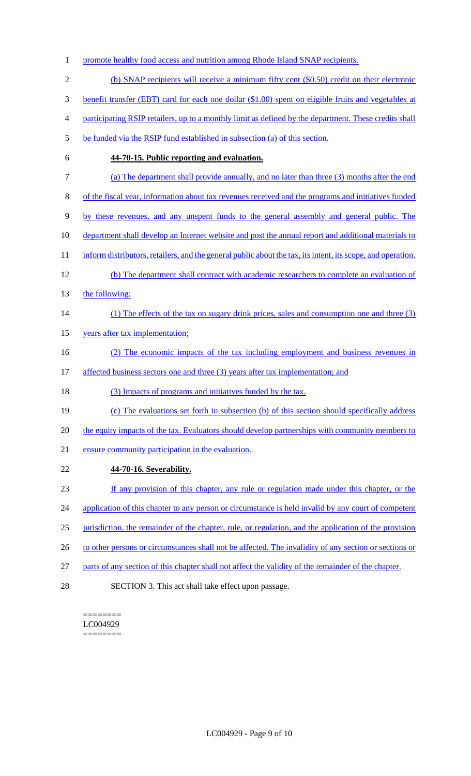- 1 promote healthy food access and nutrition among Rhode Island SNAP recipients.
- 2 (b) SNAP recipients will receive a minimum fifty cent (\$0.50) credit on their electronic
- 3 benefit transfer (EBT) card for each one dollar (\$1.00) spent on eligible fruits and vegetables at
- 4 participating RSIP retailers, up to a monthly limit as defined by the department. These credits shall
- 5 be funded via the RSIP fund established in subsection (a) of this section.
- 

### 6 **44-70-15. Public reporting and evaluation.**

- 7 (a) The department shall provide annually, and no later than three (3) months after the end
- 8 of the fiscal year, information about tax revenues received and the programs and initiatives funded
- 9 by these revenues, and any unspent funds to the general assembly and general public. The
- 10 department shall develop an Internet website and post the annual report and additional materials to
- 11 inform distributors, retailers, and the general public about the tax, its intent, its scope, and operation.
- 12 (b) The department shall contract with academic researchers to complete an evaluation of
- 13 the following:
- 14 (1) The effects of the tax on sugary drink prices, sales and consumption one and three (3)
- 15 years after tax implementation;
- 16 (2) The economic impacts of the tax including employment and business revenues in
- 17 affected business sectors one and three (3) years after tax implementation; and
- 18 (3) Impacts of programs and initiatives funded by the tax.
- 19 (c) The evaluations set forth in subsection (b) of this section should specifically address
- 20 the equity impacts of the tax. Evaluators should develop partnerships with community members to
- 21 ensure community participation in the evaluation.
- 22 **44-70-16. Severability.**
- 23 If any provision of this chapter, any rule or regulation made under this chapter, or the
- 24 application of this chapter to any person or circumstance is held invalid by any court of competent
- 25 jurisdiction, the remainder of the chapter, rule, or regulation, and the application of the provision
- 26 to other persons or circumstances shall not be affected. The invalidity of any section or sections or
- 27 parts of any section of this chapter shall not affect the validity of the remainder of the chapter.
- 28 SECTION 3. This act shall take effect upon passage.

======== LC004929 ========